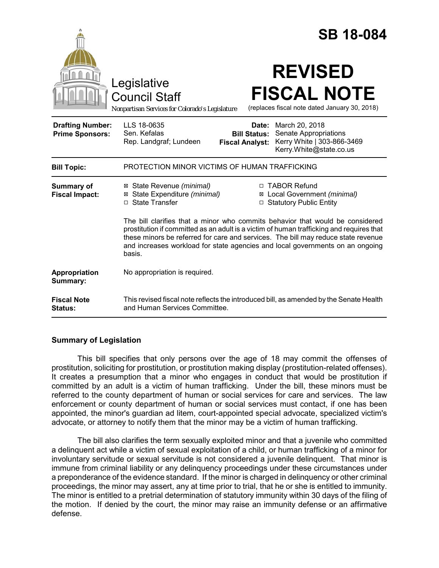|                                                   | <b>SB 18-084</b>                                                                                                                                                                                                                                                                                                                                          |
|---------------------------------------------------|-----------------------------------------------------------------------------------------------------------------------------------------------------------------------------------------------------------------------------------------------------------------------------------------------------------------------------------------------------------|
|                                                   | <b>REVISED</b><br>Legislative<br><b>FISCAL NOTE</b><br><b>Council Staff</b><br>(replaces fiscal note dated January 30, 2018)<br>Nonpartisan Services for Colorado's Legislature                                                                                                                                                                           |
| <b>Drafting Number:</b><br><b>Prime Sponsors:</b> | LLS 18-0635<br>Date: March 20, 2018<br>Sen. Kefalas<br>Senate Appropriations<br><b>Bill Status:</b><br>Kerry White   303-866-3469<br>Rep. Landgraf; Lundeen<br><b>Fiscal Analyst:</b><br>Kerry.White@state.co.us                                                                                                                                          |
| <b>Bill Topic:</b>                                | PROTECTION MINOR VICTIMS OF HUMAN TRAFFICKING                                                                                                                                                                                                                                                                                                             |
| <b>Summary of</b><br><b>Fiscal Impact:</b>        | □ TABOR Refund<br>⊠ State Revenue (minimal)<br>⊠ Local Government (minimal)<br>⊠ State Expenditure (minimal)<br>□ State Transfer<br>□ Statutory Public Entity                                                                                                                                                                                             |
|                                                   | The bill clarifies that a minor who commits behavior that would be considered<br>prostitution if committed as an adult is a victim of human trafficking and requires that<br>these minors be referred for care and services. The bill may reduce state revenue<br>and increases workload for state agencies and local governments on an ongoing<br>basis. |
| Appropriation<br>Summary:                         | No appropriation is required.                                                                                                                                                                                                                                                                                                                             |
| <b>Fiscal Note</b><br><b>Status:</b>              | This revised fiscal note reflects the introduced bill, as amended by the Senate Health<br>and Human Services Committee.                                                                                                                                                                                                                                   |

### **Summary of Legislation**

This bill specifies that only persons over the age of 18 may commit the offenses of prostitution, soliciting for prostitution, or prostitution making display (prostitution-related offenses). It creates a presumption that a minor who engages in conduct that would be prostitution if committed by an adult is a victim of human trafficking. Under the bill, these minors must be referred to the county department of human or social services for care and services. The law enforcement or county department of human or social services must contact, if one has been appointed, the minor's guardian ad litem, court-appointed special advocate, specialized victim's advocate, or attorney to notify them that the minor may be a victim of human trafficking.

The bill also clarifies the term sexually exploited minor and that a juvenile who committed a delinquent act while a victim of sexual exploitation of a child, or human trafficking of a minor for involuntary servitude or sexual servitude is not considered a juvenile delinquent. That minor is immune from criminal liability or any delinquency proceedings under these circumstances under a preponderance of the evidence standard. If the minor is charged in delinquency or other criminal proceedings, the minor may assert, any at time prior to trial, that he or she is entitled to immunity. The minor is entitled to a pretrial determination of statutory immunity within 30 days of the filing of the motion. If denied by the court, the minor may raise an immunity defense or an affirmative defense.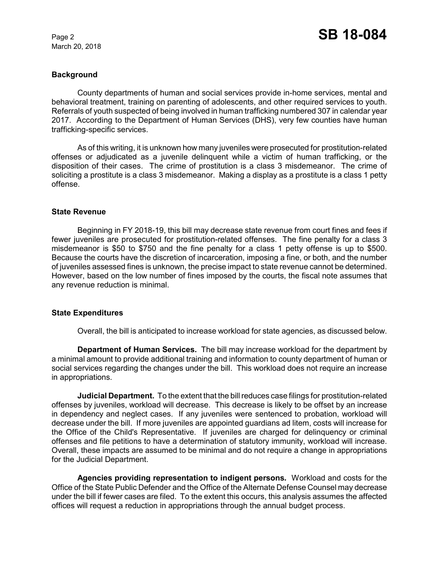March 20, 2018

## **Background**

County departments of human and social services provide in-home services, mental and behavioral treatment, training on parenting of adolescents, and other required services to youth. Referrals of youth suspected of being involved in human trafficking numbered 307 in calendar year 2017. According to the Department of Human Services (DHS), very few counties have human trafficking-specific services.

As of this writing, it is unknown how many juveniles were prosecuted for prostitution-related offenses or adjudicated as a juvenile delinquent while a victim of human trafficking, or the disposition of their cases. The crime of prostitution is a class 3 misdemeanor. The crime of soliciting a prostitute is a class 3 misdemeanor. Making a display as a prostitute is a class 1 petty offense.

### **State Revenue**

Beginning in FY 2018-19, this bill may decrease state revenue from court fines and fees if fewer juveniles are prosecuted for prostitution-related offenses. The fine penalty for a class 3 misdemeanor is \$50 to \$750 and the fine penalty for a class 1 petty offense is up to \$500. Because the courts have the discretion of incarceration, imposing a fine, or both, and the number of juveniles assessed fines is unknown, the precise impact to state revenue cannot be determined. However, based on the low number of fines imposed by the courts, the fiscal note assumes that any revenue reduction is minimal.

### **State Expenditures**

Overall, the bill is anticipated to increase workload for state agencies, as discussed below.

**Department of Human Services.** The bill may increase workload for the department by a minimal amount to provide additional training and information to county department of human or social services regarding the changes under the bill. This workload does not require an increase in appropriations.

**Judicial Department.** To the extent that the bill reduces case filings for prostitution-related offenses by juveniles, workload will decrease. This decrease is likely to be offset by an increase in dependency and neglect cases. If any juveniles were sentenced to probation, workload will decrease under the bill. If more juveniles are appointed guardians ad litem, costs will increase for the Office of the Child's Representative. If juveniles are charged for delinquency or criminal offenses and file petitions to have a determination of statutory immunity, workload will increase. Overall, these impacts are assumed to be minimal and do not require a change in appropriations for the Judicial Department.

**Agencies providing representation to indigent persons***.* Workload and costs for the Office of the State Public Defender and the Office of the Alternate Defense Counsel may decrease under the bill if fewer cases are filed. To the extent this occurs, this analysis assumes the affected offices will request a reduction in appropriations through the annual budget process.